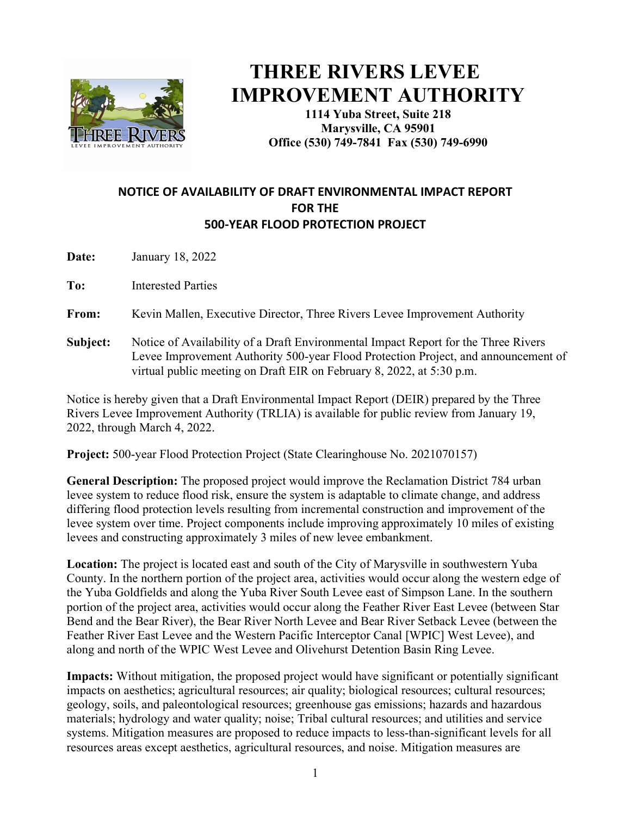

## **THREE RIVERS LEVEE IMPROVEMENT AUTHORITY**

**1114 Yuba Street, Suite 218 Marysville, CA 95901 Office (530) 749-7841 Fax (530) 749-6990** 

## **NOTICE OF AVAILABILITY OF DRAFT ENVIRONMENTAL IMPACT REPORT FOR THE 500-YEAR FLOOD PROTECTION PROJECT**

**Date:** January 18, 2022

**To:** Interested Parties

**From:** Kevin Mallen, Executive Director, Three Rivers Levee Improvement Authority

**Subject:** Notice of Availability of a Draft Environmental Impact Report for the Three Rivers Levee Improvement Authority 500-year Flood Protection Project, and announcement of virtual public meeting on Draft EIR on February 8, 2022, at 5:30 p.m.

Notice is hereby given that a Draft Environmental Impact Report (DEIR) prepared by the Three Rivers Levee Improvement Authority (TRLIA) is available for public review from January 19, 2022, through March 4, 2022.

**Project:** 500-year Flood Protection Project (State Clearinghouse No. 2021070157)

**General Description:** The proposed project would improve the Reclamation District 784 urban levee system to reduce flood risk, ensure the system is adaptable to climate change, and address differing flood protection levels resulting from incremental construction and improvement of the levee system over time. Project components include improving approximately 10 miles of existing levees and constructing approximately 3 miles of new levee embankment.

**Location:** The project is located east and south of the City of Marysville in southwestern Yuba County. In the northern portion of the project area, activities would occur along the western edge of the Yuba Goldfields and along the Yuba River South Levee east of Simpson Lane. In the southern portion of the project area, activities would occur along the Feather River East Levee (between Star Bend and the Bear River), the Bear River North Levee and Bear River Setback Levee (between the Feather River East Levee and the Western Pacific Interceptor Canal [WPIC] West Levee), and along and north of the WPIC West Levee and Olivehurst Detention Basin Ring Levee.

**Impacts:** Without mitigation, the proposed project would have significant or potentially significant impacts on aesthetics; agricultural resources; air quality; biological resources; cultural resources; geology, soils, and paleontological resources; greenhouse gas emissions; hazards and hazardous materials; hydrology and water quality; noise; Tribal cultural resources; and utilities and service systems. Mitigation measures are proposed to reduce impacts to less-than-significant levels for all resources areas except aesthetics, agricultural resources, and noise. Mitigation measures are